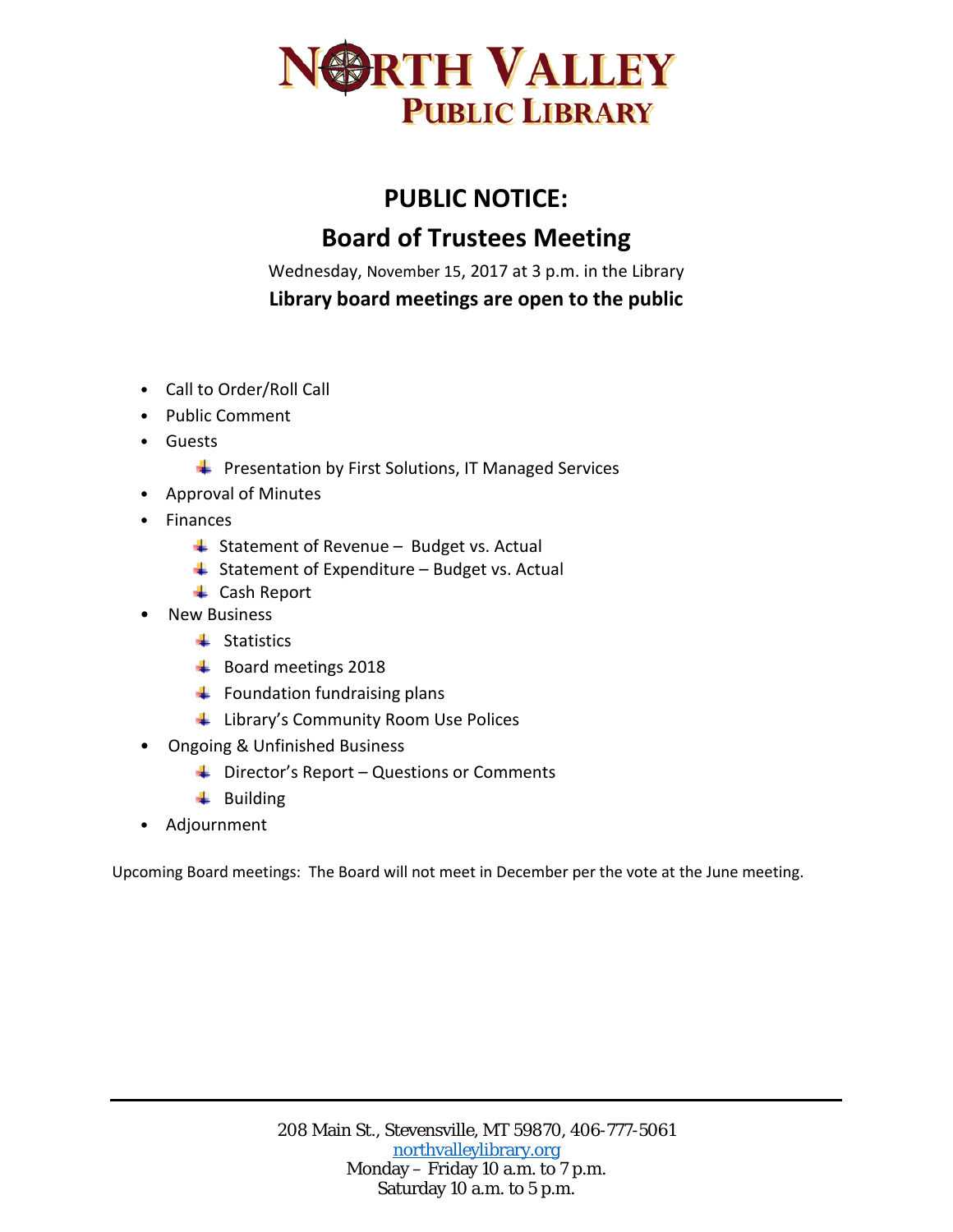

## **PUBLIC NOTICE: Board of Trustees Meeting**

Wednesday, November 15, 2017 at 3 p.m. in the Library **Library board meetings are open to the public**

- Call to Order/Roll Call
- Public Comment
- Guests
	- $\downarrow$  Presentation by First Solutions, IT Managed Services
- Approval of Minutes
- Finances
	- $\frac{1}{2}$  Statement of Revenue Budget vs. Actual
	- $\triangleq$  Statement of Expenditure Budget vs. Actual
	- **← Cash Report**
- New Business
	- $\ddot{\bullet}$  Statistics
	- Board meetings 2018
	- $\ddot{\bullet}$  Foundation fundraising plans
	- **Library's Community Room Use Polices**
- Ongoing & Unfinished Business
	- $\overline{\phantom{a} \bullet}$  Director's Report Questions or Comments
	- $\ddot{\bullet}$  Building
- Adjournment

Upcoming Board meetings: The Board will not meet in December per the vote at the June meeting.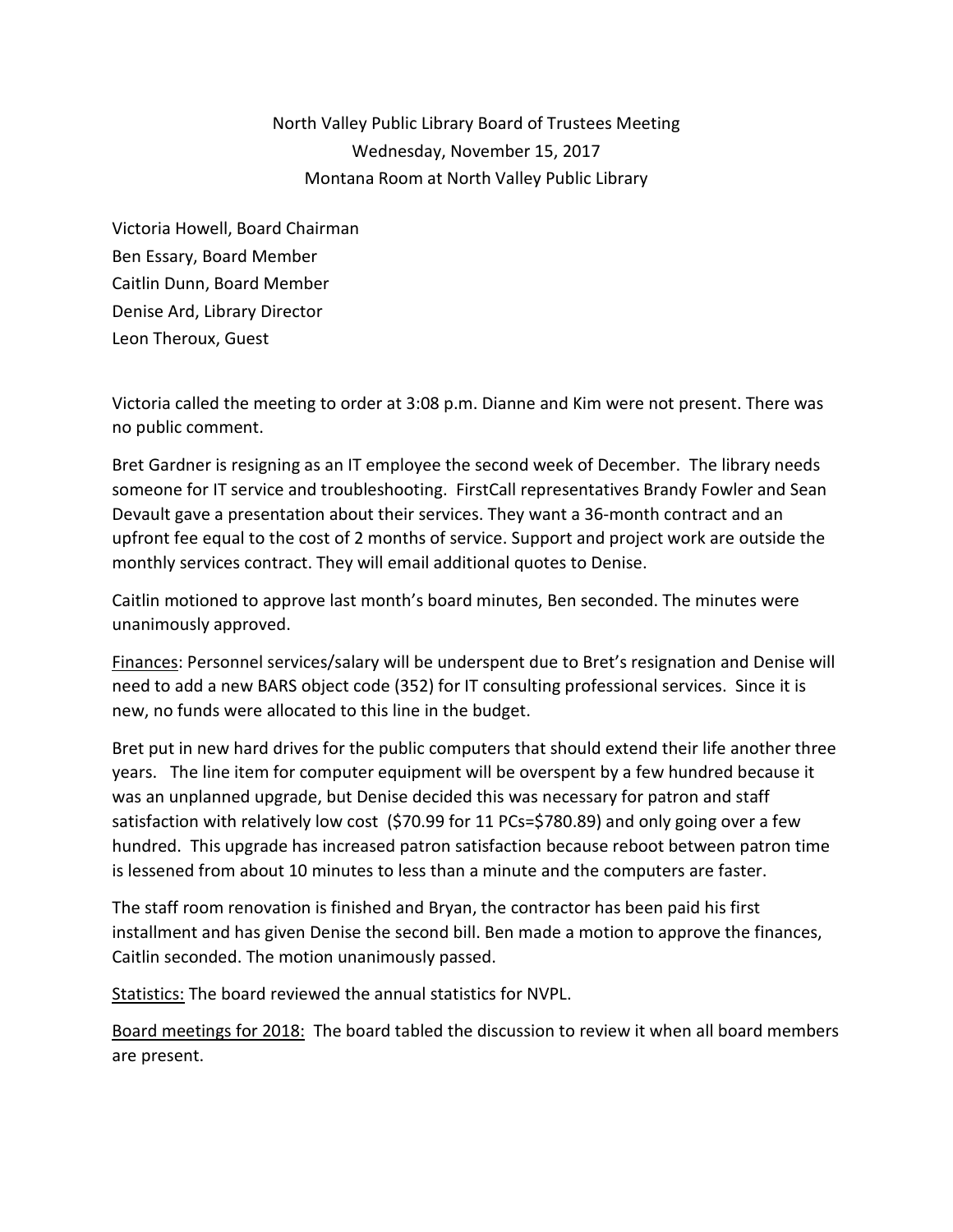North Valley Public Library Board of Trustees Meeting Wednesday, November 15, 2017 Montana Room at North Valley Public Library

Victoria Howell, Board Chairman Ben Essary, Board Member Caitlin Dunn, Board Member Denise Ard, Library Director Leon Theroux, Guest

Victoria called the meeting to order at 3:08 p.m. Dianne and Kim were not present. There was no public comment.

Bret Gardner is resigning as an IT employee the second week of December. The library needs someone for IT service and troubleshooting. FirstCall representatives Brandy Fowler and Sean Devault gave a presentation about their services. They want a 36-month contract and an upfront fee equal to the cost of 2 months of service. Support and project work are outside the monthly services contract. They will email additional quotes to Denise.

Caitlin motioned to approve last month's board minutes, Ben seconded. The minutes were unanimously approved.

Finances: Personnel services/salary will be underspent due to Bret's resignation and Denise will need to add a new BARS object code (352) for IT consulting professional services. Since it is new, no funds were allocated to this line in the budget.

Bret put in new hard drives for the public computers that should extend their life another three years. The line item for computer equipment will be overspent by a few hundred because it was an unplanned upgrade, but Denise decided this was necessary for patron and staff satisfaction with relatively low cost (\$70.99 for 11 PCs=\$780.89) and only going over a few hundred. This upgrade has increased patron satisfaction because reboot between patron time is lessened from about 10 minutes to less than a minute and the computers are faster.

The staff room renovation is finished and Bryan, the contractor has been paid his first installment and has given Denise the second bill. Ben made a motion to approve the finances, Caitlin seconded. The motion unanimously passed.

Statistics: The board reviewed the annual statistics for NVPL.

Board meetings for 2018: The board tabled the discussion to review it when all board members are present.